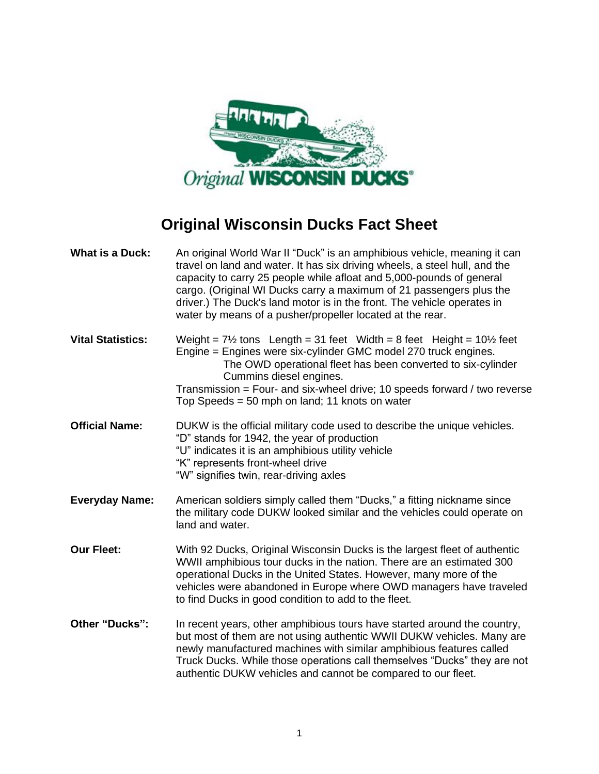

## **Original Wisconsin Ducks Fact Sheet**

| <b>What is a Duck:</b>   | An original World War II "Duck" is an amphibious vehicle, meaning it can<br>travel on land and water. It has six driving wheels, a steel hull, and the<br>capacity to carry 25 people while afloat and 5,000-pounds of general<br>cargo. (Original WI Ducks carry a maximum of 21 passengers plus the<br>driver.) The Duck's land motor is in the front. The vehicle operates in<br>water by means of a pusher/propeller located at the rear. |
|--------------------------|-----------------------------------------------------------------------------------------------------------------------------------------------------------------------------------------------------------------------------------------------------------------------------------------------------------------------------------------------------------------------------------------------------------------------------------------------|
| <b>Vital Statistics:</b> | Weight = $7\frac{1}{2}$ tons Length = 31 feet Width = 8 feet Height = $10\frac{1}{2}$ feet<br>Engine = Engines were six-cylinder GMC model 270 truck engines.<br>The OWD operational fleet has been converted to six-cylinder<br>Cummins diesel engines.<br>Transmission = Four- and six-wheel drive; 10 speeds forward / two reverse<br>Top Speeds = 50 mph on land; 11 knots on water                                                       |
| <b>Official Name:</b>    | DUKW is the official military code used to describe the unique vehicles.<br>"D" stands for 1942, the year of production<br>"U" indicates it is an amphibious utility vehicle<br>"K" represents front-wheel drive<br>"W" signifies twin, rear-driving axles                                                                                                                                                                                    |
| <b>Everyday Name:</b>    | American soldiers simply called them "Ducks," a fitting nickname since<br>the military code DUKW looked similar and the vehicles could operate on<br>land and water.                                                                                                                                                                                                                                                                          |
| <b>Our Fleet:</b>        | With 92 Ducks, Original Wisconsin Ducks is the largest fleet of authentic<br>WWII amphibious tour ducks in the nation. There are an estimated 300<br>operational Ducks in the United States. However, many more of the<br>vehicles were abandoned in Europe where OWD managers have traveled<br>to find Ducks in good condition to add to the fleet.                                                                                          |
| Other "Ducks":           | In recent years, other amphibious tours have started around the country,<br>but most of them are not using authentic WWII DUKW vehicles. Many are<br>newly manufactured machines with similar amphibious features called<br>Truck Ducks. While those operations call themselves "Ducks" they are not<br>authentic DUKW vehicles and cannot be compared to our fleet.                                                                          |